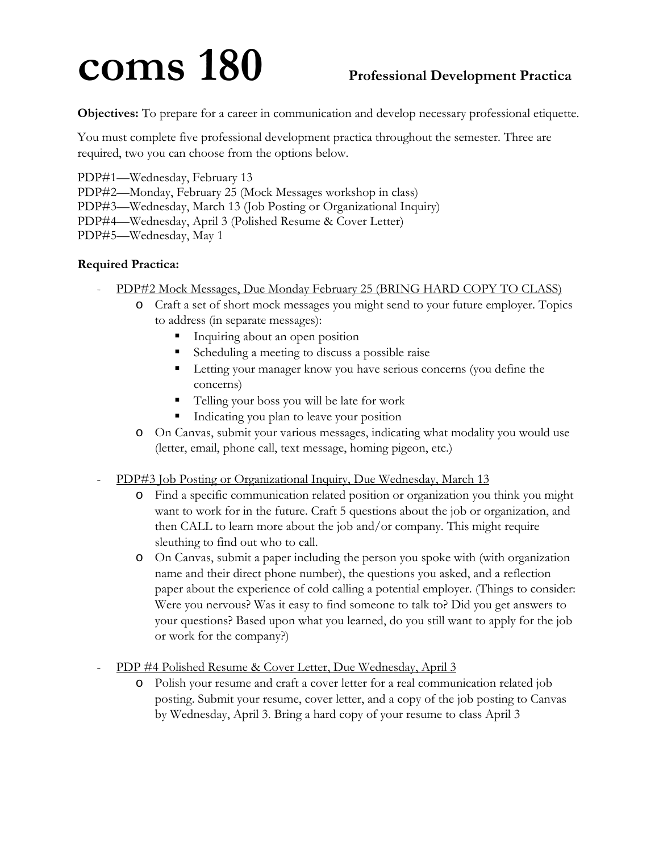## **coms 180 Professional Development Practica**

**Objectives:** To prepare for a career in communication and develop necessary professional etiquette.

You must complete five professional development practica throughout the semester. Three are required, two you can choose from the options below.

PDP#1—Wednesday, February 13 PDP#2—Monday, February 25 (Mock Messages workshop in class)

PDP#3—Wednesday, March 13 (Job Posting or Organizational Inquiry)

PDP#4—Wednesday, April 3 (Polished Resume & Cover Letter)

PDP#5—Wednesday, May 1

## **Required Practica:**

- PDP#2 Mock Messages, Due Monday February 25 (BRING HARD COPY TO CLASS)
	- o Craft a set of short mock messages you might send to your future employer. Topics to address (in separate messages):
		- **Inquiring about an open position**
		- Scheduling a meeting to discuss a possible raise
		- Letting your manager know you have serious concerns (you define the concerns)
		- Telling your boss you will be late for work
		- Indicating you plan to leave your position
	- o On Canvas, submit your various messages, indicating what modality you would use (letter, email, phone call, text message, homing pigeon, etc.)
- PDP#3 Job Posting or Organizational Inquiry, Due Wednesday, March 13
	- o Find a specific communication related position or organization you think you might want to work for in the future. Craft 5 questions about the job or organization, and then CALL to learn more about the job and/or company. This might require sleuthing to find out who to call.
	- o On Canvas, submit a paper including the person you spoke with (with organization name and their direct phone number), the questions you asked, and a reflection paper about the experience of cold calling a potential employer. (Things to consider: Were you nervous? Was it easy to find someone to talk to? Did you get answers to your questions? Based upon what you learned, do you still want to apply for the job or work for the company?)

PDP #4 Polished Resume & Cover Letter, Due Wednesday, April 3

o Polish your resume and craft a cover letter for a real communication related job posting. Submit your resume, cover letter, and a copy of the job posting to Canvas by Wednesday, April 3. Bring a hard copy of your resume to class April 3